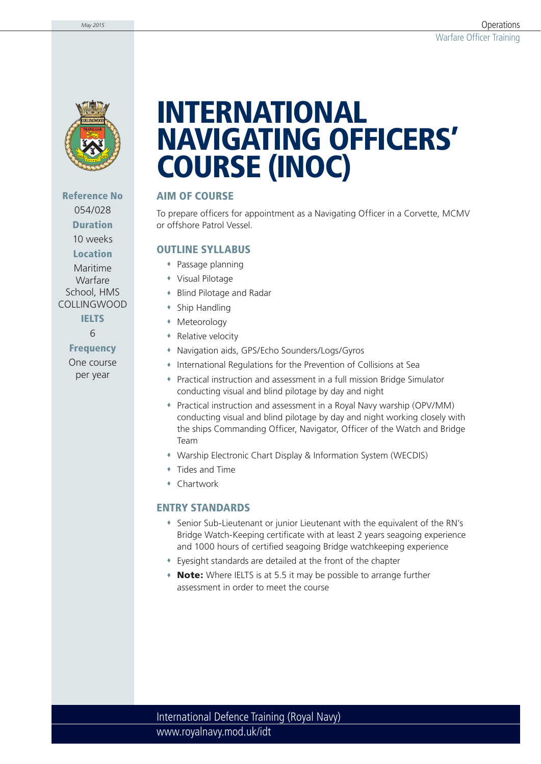

## **Reference No**  054/028 **Duration** 10 weeks

**Location**

Maritime Warfare School, HMS COLLINGWOOD

> **IELTS** 6

**Frequency** One course per year

# **INTERNATIONAL NAVIGATING OFFICERS' COURSE (INOC)**

### **AIM OF COURSE**

To prepare officers for appointment as a Navigating Officer in a Corvette, MCMV or offshore Patrol Vessel.

### **OUTLINE SYLLABUS**

- Passage planning
- Visual Pilotage
- Blind Pilotage and Radar
- Ship Handling
- Meteorology
- Relative velocity
- Navigation aids, GPS/Echo Sounders/Logs/Gyros
- International Regulations for the Prevention of Collisions at Sea
- Practical instruction and assessment in a full mission Bridge Simulator conducting visual and blind pilotage by day and night
- Practical instruction and assessment in a Royal Navy warship (OPV/MM) conducting visual and blind pilotage by day and night working closely with the ships Commanding Officer, Navigator, Officer of the Watch and Bridge Team
- Warship Electronic Chart Display & Information System (WECDIS)
- Tides and Time
- Chartwork

#### **ENTRY STANDARDS**

- Senior Sub-Lieutenant or junior Lieutenant with the equivalent of the RN's Bridge Watch-Keeping certificate with at least 2 years seagoing experience and 1000 hours of certified seagoing Bridge watchkeeping experience
- Eyesight standards are detailed at the front of the chapter
- **Note:** Where IELTS is at 5.5 it may be possible to arrange further assessment in order to meet the course